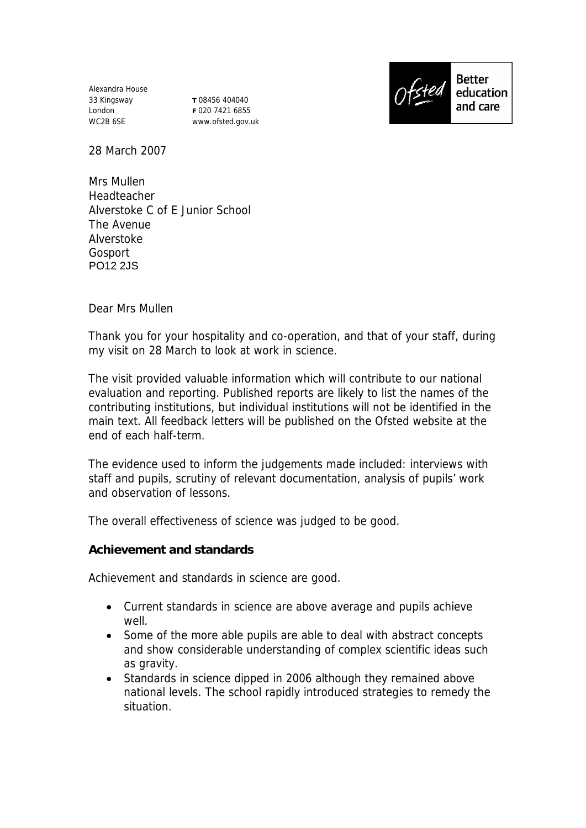Alexandra House 33 Kingsway London WC2B 6SE

**T** 08456 404040 **F** 020 7421 6855 www.ofsted.gov.uk



**Better** education and care

28 March 2007

Mrs Mullen **Headteacher** Alverstoke C of E Junior School The Avenue Alverstoke Gosport PO12 2JS

Dear Mrs Mullen

Thank you for your hospitality and co-operation, and that of your staff, during my visit on 28 March to look at work in science.

The visit provided valuable information which will contribute to our national evaluation and reporting. Published reports are likely to list the names of the contributing institutions, but individual institutions will not be identified in the main text. All feedback letters will be published on the Ofsted website at the end of each half-term.

The evidence used to inform the judgements made included: interviews with staff and pupils, scrutiny of relevant documentation, analysis of pupils' work and observation of lessons.

The overall effectiveness of science was judged to be good.

**Achievement and standards**

Achievement and standards in science are good.

- Current standards in science are above average and pupils achieve well.
- Some of the more able pupils are able to deal with abstract concepts and show considerable understanding of complex scientific ideas such as gravity.
- Standards in science dipped in 2006 although they remained above national levels. The school rapidly introduced strategies to remedy the situation.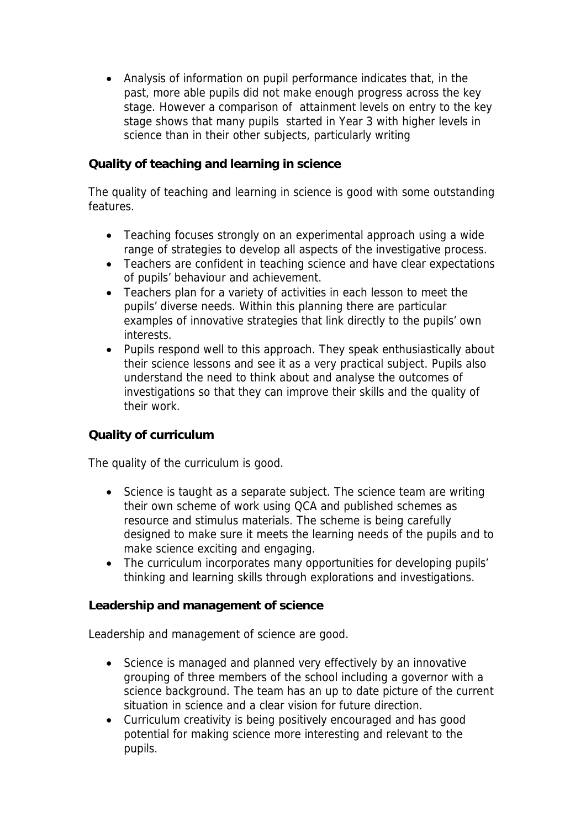Analysis of information on pupil performance indicates that, in the past, more able pupils did not make enough progress across the key stage. However a comparison of attainment levels on entry to the key stage shows that many pupils started in Year 3 with higher levels in science than in their other subjects, particularly writing

## **Quality of teaching and learning in science**

The quality of teaching and learning in science is good with some outstanding features.

- Teaching focuses strongly on an experimental approach using a wide range of strategies to develop all aspects of the investigative process.
- Teachers are confident in teaching science and have clear expectations of pupils' behaviour and achievement.
- Teachers plan for a variety of activities in each lesson to meet the pupils' diverse needs. Within this planning there are particular examples of innovative strategies that link directly to the pupils' own interests.
- Pupils respond well to this approach. They speak enthusiastically about their science lessons and see it as a very practical subject. Pupils also understand the need to think about and analyse the outcomes of investigations so that they can improve their skills and the quality of their work.

## **Quality of curriculum**

The quality of the curriculum is good.

- Science is taught as a separate subject. The science team are writing their own scheme of work using QCA and published schemes as resource and stimulus materials. The scheme is being carefully designed to make sure it meets the learning needs of the pupils and to make science exciting and engaging.
- The curriculum incorporates many opportunities for developing pupils' thinking and learning skills through explorations and investigations.

**Leadership and management of science**

Leadership and management of science are good.

- Science is managed and planned very effectively by an innovative grouping of three members of the school including a governor with a science background. The team has an up to date picture of the current situation in science and a clear vision for future direction.
- Curriculum creativity is being positively encouraged and has good potential for making science more interesting and relevant to the pupils.